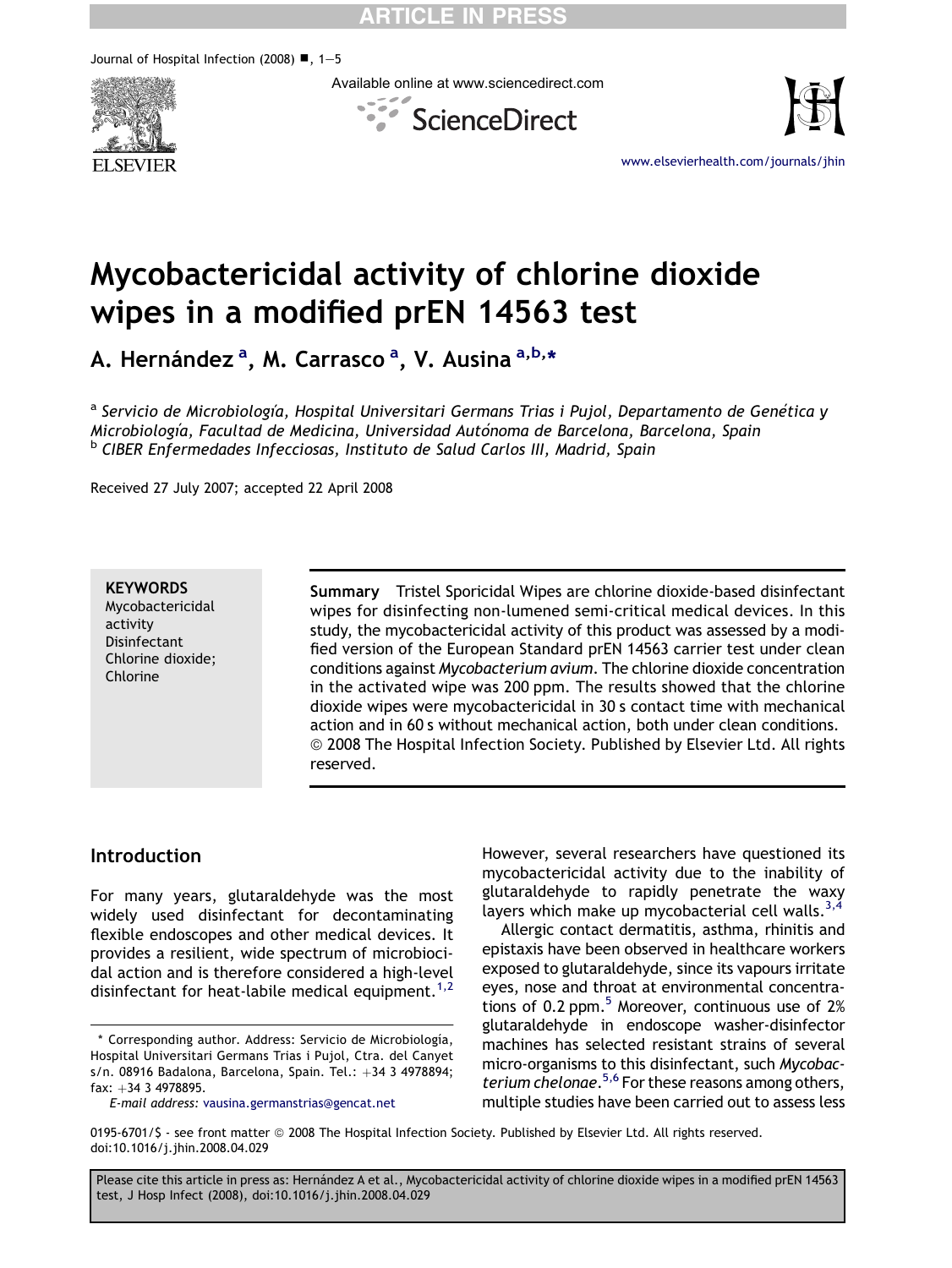**RTICLE IN PRES** 

Journal of Hospital Infection (2008)  $\blacksquare$ , 1-5



Available online at www.sciencedirect.com





[www.elsevierhealth.com/journals/jhin](http://www.elsevierhealth.com/journals/jhin)

# Mycobactericidal activity of chlorine dioxide wipes in a modified prEN 14563 test

A. Hernández <sup>a</sup>, M. Carrasco <sup>a</sup>, V. Ausina <sup>a,b,</sup>\*

a Servicio de Microbiología, Hospital Universitari Germans Trias i Pujol, Departamento de Genética y Microbiología, Facultad de Medicina, Universidad Autónoma de Barcelona, Barcelona, Spain <sup>b</sup> CIBER Enfermedades Infecciosas, Instituto de Salud Carlos III, Madrid, Spain

Received 27 July 2007; accepted 22 April 2008

**KEYWORDS** Mycobactericidal activity Disinfectant Chlorine dioxide; Chlorine

Summary Tristel Sporicidal Wipes are chlorine dioxide-based disinfectant wipes for disinfecting non-lumened semi-critical medical devices. In this study, the mycobactericidal activity of this product was assessed by a modified version of the European Standard prEN 14563 carrier test under clean conditions against Mycobacterium avium. The chlorine dioxide concentration in the activated wipe was 200 ppm. The results showed that the chlorine dioxide wipes were mycobactericidal in 30 s contact time with mechanical action and in 60 s without mechanical action, both under clean conditions.  $@$  2008 The Hospital Infection Society. Published by Elsevier Ltd. All rights reserved.

# Introduction

For many years, glutaraldehyde was the most widely used disinfectant for decontaminating flexible endoscopes and other medical devices. It provides a resilient, wide spectrum of microbiocidal action and is therefore considered a high-level disinfectant for heat-labile medical equipment.<sup>[1,2](#page-4-0)</sup> However, several researchers have questioned its mycobactericidal activity due to the inability of glutaraldehyde to rapidly penetrate the waxy layers which make up mycobacterial cell walls.  $3,4$ 

Allergic contact dermatitis, asthma, rhinitis and epistaxis have been observed in healthcare workers exposed to glutaraldehyde, since its vapours irritate eyes, nose and throat at environmental concentrations of 0.2 ppm.<sup>5</sup> Moreover, continuous use of 2% glutaraldehyde in endoscope washer-disinfector machines has selected resistant strains of several micro-organisms to this disinfectant, such Mycobac-terium chelonae.<sup>[5,6](#page-4-0)</sup> For these reasons among others, multiple studies have been carried out to assess less

0195-6701/\$ - see front matter @ 2008 The Hospital Infection Society. Published by Elsevier Ltd. All rights reserved. doi:10.1016/j.jhin.2008.04.029

<sup>\*</sup> Corresponding author. Address: Servicio de Microbiología, Hospital Universitari Germans Trias i Pujol, Ctra. del Canyet s/n. 08916 Badalona, Barcelona, Spain. Tel.:  $+34$  3 4978894; fax:  $+34$  3 4978895.

E-mail address: [vausina.germanstrias@gencat.net](mailto:vausina.germanstrias@gencat.net)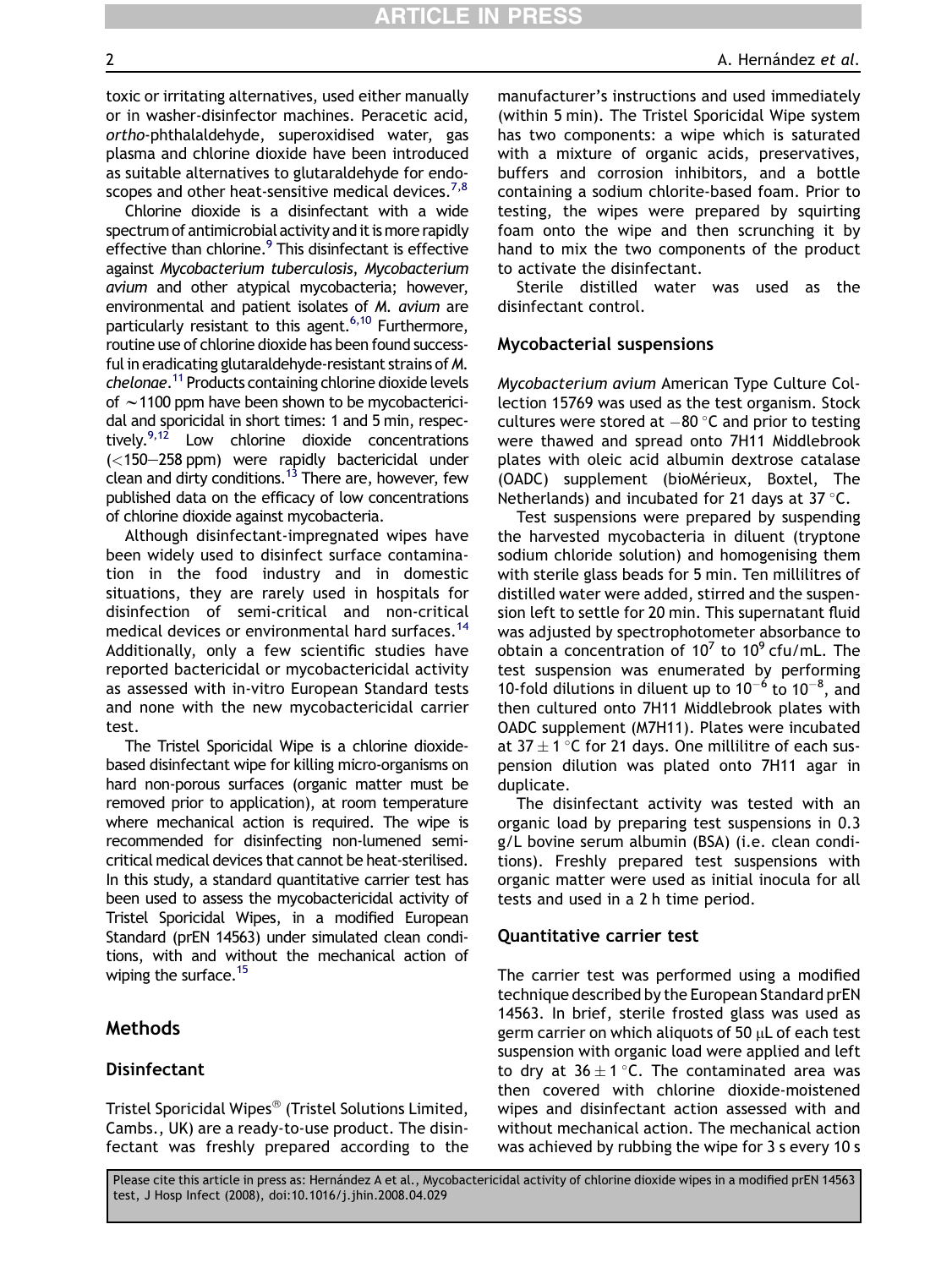**CLE IN** 

toxic or irritating alternatives, used either manually or in washer-disinfector machines. Peracetic acid, ortho-phthalaldehyde, superoxidised water, gas plasma and chlorine dioxide have been introduced as suitable alternatives to glutaraldehyde for endoscopes and other heat-sensitive medical devices.<sup>7,8</sup>

Chlorine dioxide is a disinfectant with a wide spectrum of antimicrobial activity and it is more rapidly effective than chlorine.<sup>[9](#page-4-0)</sup> This disinfectant is effective against Mycobacterium tuberculosis, Mycobacterium avium and other atypical mycobacteria; however, environmental and patient isolates of M. avium are particularly resistant to this agent.<sup>6,10</sup> Furthermore, routine use of chlorine dioxide has been found successful in eradicating glutaraldehyde-resistant strains of M. chelonae. [11](#page-4-0) Products containing chlorine dioxide levels of  $\sim$  1100 ppm have been shown to be mycobactericidal and sporicidal in short times: 1 and 5 min, respectively. $9,12$  Low chlorine dioxide concentrations  $(<$ 150-258 ppm) were rapidly bactericidal under clean and dirty conditions.<sup>13</sup> There are, however, few published data on the efficacy of low concentrations of chlorine dioxide against mycobacteria.

Although disinfectant-impregnated wipes have been widely used to disinfect surface contamination in the food industry and in domestic situations, they are rarely used in hospitals for disinfection of semi-critical and non-critical medical devices or environmental hard surfaces.[14](#page-4-0) Additionally, only a few scientific studies have reported bactericidal or mycobactericidal activity as assessed with in-vitro European Standard tests and none with the new mycobactericidal carrier test.

The Tristel Sporicidal Wipe is a chlorine dioxidebased disinfectant wipe for killing micro-organisms on hard non-porous surfaces (organic matter must be removed prior to application), at room temperature where mechanical action is required. The wipe is recommended for disinfecting non-lumened semicritical medical devices that cannot be heat-sterilised. In this study, a standard quantitative carrier test has been used to assess the mycobactericidal activity of Tristel Sporicidal Wipes, in a modified European Standard (prEN 14563) under simulated clean conditions, with and without the mechanical action of wiping the surface.<sup>15</sup>

#### Methods

#### **Disinfectant**

Tristel Sporicidal Wipes® (Tristel Solutions Limited, Cambs., UK) are a ready-to-use product. The disinfectant was freshly prepared according to the manufacturer's instructions and used immediately (within 5 min). The Tristel Sporicidal Wipe system has two components: a wipe which is saturated with a mixture of organic acids, preservatives, buffers and corrosion inhibitors, and a bottle containing a sodium chlorite-based foam. Prior to testing, the wipes were prepared by squirting foam onto the wipe and then scrunching it by hand to mix the two components of the product to activate the disinfectant.

Sterile distilled water was used as the disinfectant control.

#### Mycobacterial suspensions

Mycobacterium avium American Type Culture Collection 15769 was used as the test organism. Stock cultures were stored at  $-80$  °C and prior to testing were thawed and spread onto 7H11 Middlebrook plates with oleic acid albumin dextrose catalase (OADC) supplement (bioMérieux, Boxtel, The Netherlands) and incubated for 21 days at  $37^{\circ}$ C.

Test suspensions were prepared by suspending the harvested mycobacteria in diluent (tryptone sodium chloride solution) and homogenising them with sterile glass beads for 5 min. Ten millilitres of distilled water were added, stirred and the suspension left to settle for 20 min. This supernatant fluid was adjusted by spectrophotometer absorbance to obtain a concentration of  $10^7$  to  $10^9$  cfu/mL. The test suspension was enumerated by performing 10-fold dilutions in diluent up to  $10^{-6}$  to  $10^{-8}$ , and then cultured onto 7H11 Middlebrook plates with OADC supplement (M7H11). Plates were incubated at  $37 \pm 1$  °C for 21 days. One millilitre of each suspension dilution was plated onto 7H11 agar in duplicate.

The disinfectant activity was tested with an organic load by preparing test suspensions in 0.3 g/L bovine serum albumin (BSA) (i.e. clean conditions). Freshly prepared test suspensions with organic matter were used as initial inocula for all tests and used in a 2 h time period.

#### Quantitative carrier test

The carrier test was performed using a modified technique described by the European Standard prEN 14563. In brief, sterile frosted glass was used as germ carrier on which aliquots of 50  $\mu$ L of each test suspension with organic load were applied and left to dry at  $36 \pm 1$  °C. The contaminated area was then covered with chlorine dioxide-moistened wipes and disinfectant action assessed with and without mechanical action. The mechanical action was achieved by rubbing the wipe for 3 s every 10 s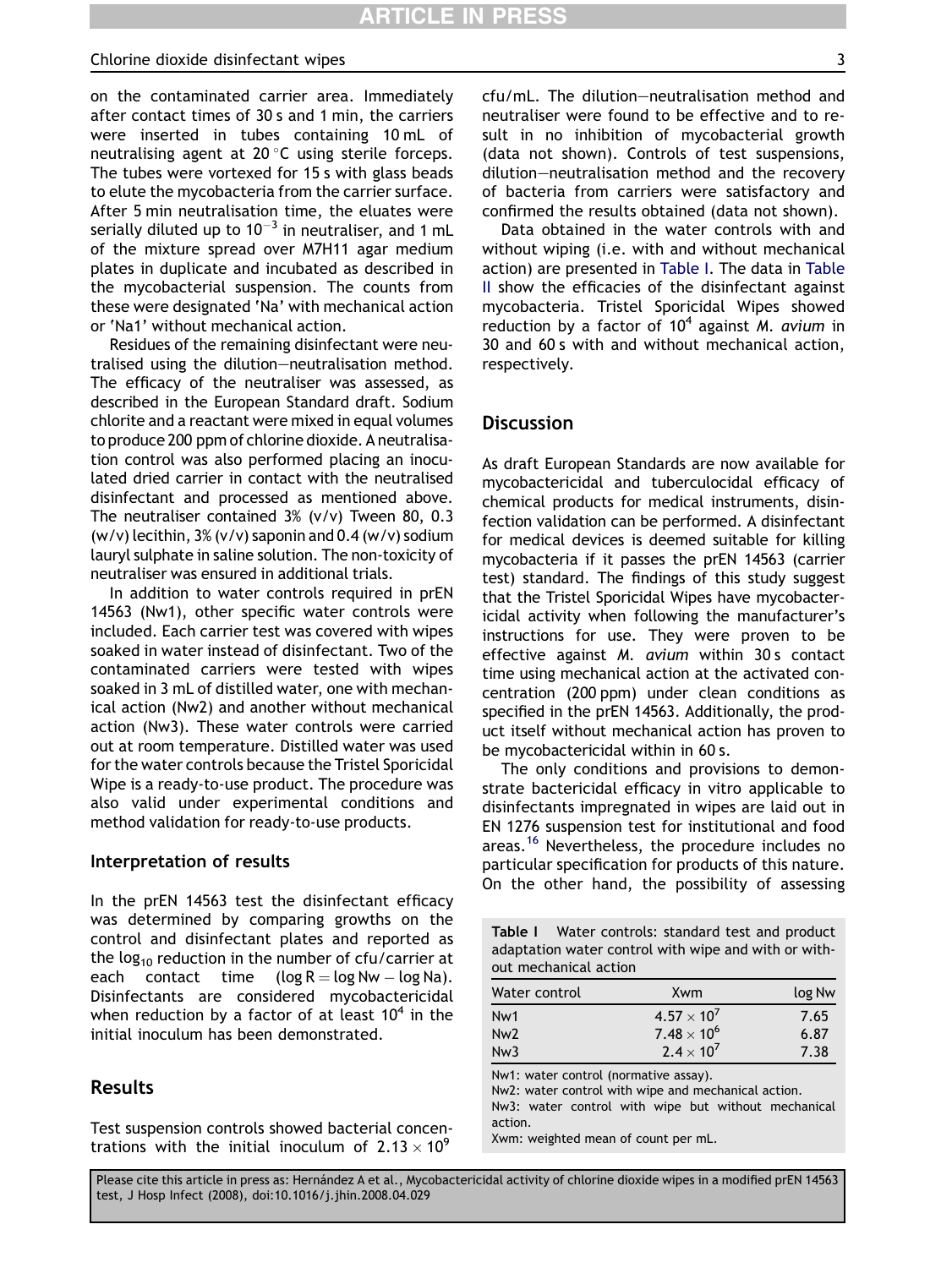#### Chlorine dioxide disinfectant wipes 3

on the contaminated carrier area. Immediately after contact times of 30 s and 1 min, the carriers were inserted in tubes containing 10 mL of neutralising agent at  $20^{\circ}$ C using sterile forceps. The tubes were vortexed for 15 s with glass beads to elute the mycobacteria from the carrier surface. After 5 min neutralisation time, the eluates were serially diluted up to 10 $^{-3}$  in neutraliser, and 1 mL of the mixture spread over M7H11 agar medium plates in duplicate and incubated as described in the mycobacterial suspension. The counts from these were designated 'Na' with mechanical action or 'Na1' without mechanical action.

Residues of the remaining disinfectant were neutralised using the dilution-neutralisation method. The efficacy of the neutraliser was assessed, as described in the European Standard draft. Sodium chlorite and a reactant were mixed in equal volumes to produce 200 ppm of chlorine dioxide. A neutralisation control was also performed placing an inoculated dried carrier in contact with the neutralised disinfectant and processed as mentioned above. The neutraliser contained 3% (v/v) Tween 80, 0.3 (w/v) lecithin,  $3\%$  (v/v) saponin and 0.4 (w/v) sodium lauryl sulphate in saline solution. The non-toxicity of neutraliser was ensured in additional trials.

In addition to water controls required in prEN 14563 (Nw1), other specific water controls were included. Each carrier test was covered with wipes soaked in water instead of disinfectant. Two of the contaminated carriers were tested with wipes soaked in 3 mL of distilled water, one with mechanical action (Nw2) and another without mechanical action (Nw3). These water controls were carried out at room temperature. Distilled water was used for the water controls because the Tristel Sporicidal Wipe is a ready-to-use product. The procedure was also valid under experimental conditions and method validation for ready-to-use products.

#### Interpretation of results

In the prEN 14563 test the disinfectant efficacy was determined by comparing growths on the control and disinfectant plates and reported as the log<sub>10</sub> reduction in the number of cfu/carrier at each contact time (log  $R = log Nw - log Na$ ). Disinfectants are considered mycobactericidal when reduction by a factor of at least  $10<sup>4</sup>$  in the initial inoculum has been demonstrated.

# Results

Test suspension controls showed bacterial concentrations with the initial inoculum of  $2.13 \times 10^9$ 

Data obtained in the water controls with and without wiping (i.e. with and without mechanical action) are presented in Table I. The data in [Table](#page-3-0) [II](#page-3-0) show the efficacies of the disinfectant against mycobacteria. Tristel Sporicidal Wipes showed reduction by a factor of  $10<sup>4</sup>$  against M. avium in 30 and 60 s with and without mechanical action, respectively.

#### **Discussion**

As draft European Standards are now available for mycobactericidal and tuberculocidal efficacy of chemical products for medical instruments, disinfection validation can be performed. A disinfectant for medical devices is deemed suitable for killing mycobacteria if it passes the prEN 14563 (carrier test) standard. The findings of this study suggest that the Tristel Sporicidal Wipes have mycobactericidal activity when following the manufacturer's instructions for use. They were proven to be effective against M. avium within 30 s contact time using mechanical action at the activated concentration (200 ppm) under clean conditions as specified in the prEN 14563. Additionally, the product itself without mechanical action has proven to be mycobactericidal within in 60 s.

The only conditions and provisions to demonstrate bactericidal efficacy in vitro applicable to disinfectants impregnated in wipes are laid out in EN 1276 suspension test for institutional and food areas.<sup>[16](#page-4-0)</sup> Nevertheless, the procedure includes no particular specification for products of this nature. On the other hand, the possibility of assessing

Table I Water controls: standard test and product adaptation water control with wipe and with or without mechanical action

| 7.65 |
|------|
| 6.87 |
| 7.38 |
|      |

Nw1: water control (normative assay).

Nw2: water control with wipe and mechanical action.

Nw3: water control with wipe but without mechanical action.

Xwm: weighted mean of count per mL.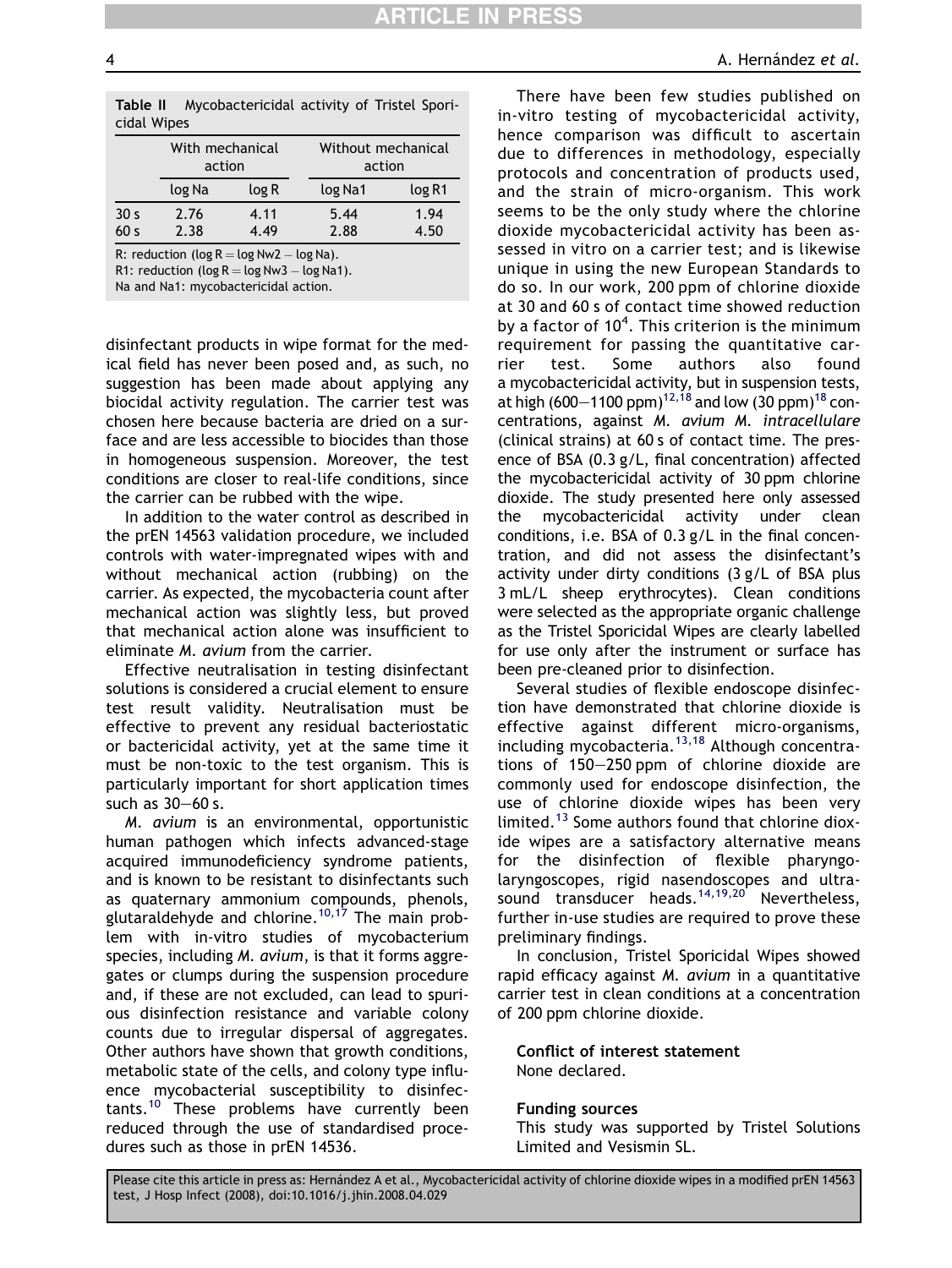<span id="page-3-0"></span>Table II Mycobactericidal activity of Tristel Sporicidal Wipes

|                 | With mechanical<br>action |       | Without mechanical<br>action |        |  |
|-----------------|---------------------------|-------|------------------------------|--------|--|
|                 | log Na                    | log R | log Na1                      | log R1 |  |
| 30 <sub>s</sub> | 2.76                      | 4.11  | 5.44                         | 1.94   |  |
| 60 <sub>s</sub> | 2.38                      | 4.49  | 2.88                         | 4.50   |  |

R: reduction (log  $R = log Nw2 - log Na$ ).

R1: reduction (log  $R = log Nw3 - log Na1$ ).

Na and Na1: mycobactericidal action.

disinfectant products in wipe format for the medical field has never been posed and, as such, no suggestion has been made about applying any biocidal activity regulation. The carrier test was chosen here because bacteria are dried on a surface and are less accessible to biocides than those in homogeneous suspension. Moreover, the test conditions are closer to real-life conditions, since the carrier can be rubbed with the wipe.

In addition to the water control as described in the prEN 14563 validation procedure, we included controls with water-impregnated wipes with and without mechanical action (rubbing) on the carrier. As expected, the mycobacteria count after mechanical action was slightly less, but proved that mechanical action alone was insufficient to eliminate M. avium from the carrier.

Effective neutralisation in testing disinfectant solutions is considered a crucial element to ensure test result validity. Neutralisation must be effective to prevent any residual bacteriostatic or bactericidal activity, yet at the same time it must be non-toxic to the test organism. This is particularly important for short application times such as  $30-60$  s.

M. avium is an environmental, opportunistic human pathogen which infects advanced-stage acquired immunodeficiency syndrome patients, and is known to be resistant to disinfectants such as quaternary ammonium compounds, phenols, glutaraldehyde and chlorine.<sup>[10,17](#page-4-0)</sup> The main problem with in-vitro studies of mycobacterium species, including M. avium, is that it forms aggregates or clumps during the suspension procedure and, if these are not excluded, can lead to spurious disinfection resistance and variable colony counts due to irregular dispersal of aggregates. Other authors have shown that growth conditions, metabolic state of the cells, and colony type influence mycobacterial susceptibility to disinfec-tants.<sup>[10](#page-4-0)</sup> These problems have currently been reduced through the use of standardised procedures such as those in prEN 14536.

There have been few studies published on in-vitro testing of mycobactericidal activity, hence comparison was difficult to ascertain due to differences in methodology, especially protocols and concentration of products used, and the strain of micro-organism. This work seems to be the only study where the chlorine dioxide mycobactericidal activity has been assessed in vitro on a carrier test; and is likewise unique in using the new European Standards to do so. In our work, 200 ppm of chlorine dioxide at 30 and 60 s of contact time showed reduction by a factor of  $10^4$ . This criterion is the minimum requirement for passing the quantitative carrier test. Some authors also found a mycobactericidal activity, but in suspension tests, at high (600–1100 ppm)<sup>12,[18](#page-4-0)</sup> and low (30 ppm)<sup>18</sup> concentrations, against M. avium M. intracellulare (clinical strains) at 60 s of contact time. The presence of BSA (0.3 g/L, final concentration) affected the mycobactericidal activity of 30 ppm chlorine dioxide. The study presented here only assessed the mycobactericidal activity under clean conditions, i.e. BSA of 0.3 g/L in the final concentration, and did not assess the disinfectant's activity under dirty conditions (3 g/L of BSA plus 3 mL/L sheep erythrocytes). Clean conditions were selected as the appropriate organic challenge as the Tristel Sporicidal Wipes are clearly labelled for use only after the instrument or surface has been pre-cleaned prior to disinfection.

Several studies of flexible endoscope disinfection have demonstrated that chlorine dioxide is effective against different micro-organisms, including mycobacteria.<sup>[13,18](#page-4-0)</sup> Although concentrations of  $150-250$  ppm of chlorine dioxide are commonly used for endoscope disinfection, the use of chlorine dioxide wipes has been very limited.[13](#page-4-0) Some authors found that chlorine dioxide wipes are a satisfactory alternative means for the disinfection of flexible pharyngolaryngoscopes, rigid nasendoscopes and ultrasound transducer heads. $14,19,20$  Nevertheless, further in-use studies are required to prove these preliminary findings.

In conclusion, Tristel Sporicidal Wipes showed rapid efficacy against M. avium in a quantitative carrier test in clean conditions at a concentration of 200 ppm chlorine dioxide.

#### Conflict of interest statement None declared.

#### Funding sources

This study was supported by Tristel Solutions Limited and Vesismin SL.